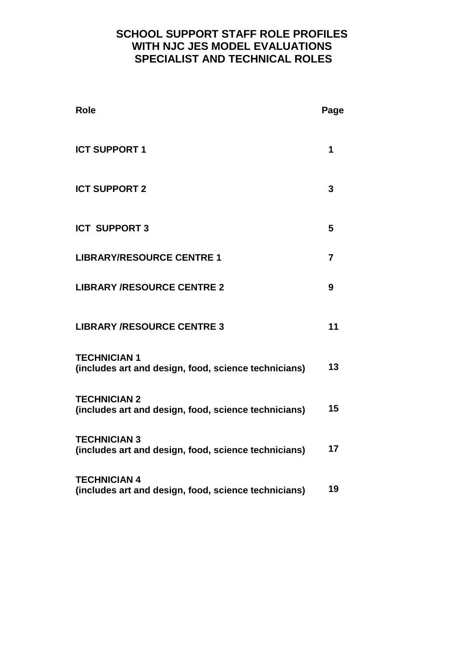# **SCHOOL SUPPORT STAFF ROLE PROFILES WITH NJC JES MODEL EVALUATIONS SPECIALIST AND TECHNICAL ROLES**

| <b>Role</b>                                                                 | Page           |
|-----------------------------------------------------------------------------|----------------|
| <b>ICT SUPPORT 1</b>                                                        | 1              |
| <b>ICT SUPPORT 2</b>                                                        | 3              |
| <b>ICT SUPPORT 3</b>                                                        | 5              |
| <b>LIBRARY/RESOURCE CENTRE 1</b>                                            | $\overline{7}$ |
| <b>LIBRARY /RESOURCE CENTRE 2</b>                                           | 9              |
| <b>LIBRARY /RESOURCE CENTRE 3</b>                                           | 11             |
| <b>TECHNICIAN 1</b><br>(includes art and design, food, science technicians) | 13             |
| <b>TECHNICIAN 2</b><br>(includes art and design, food, science technicians) | 15             |
| <b>TECHNICIAN 3</b><br>(includes art and design, food, science technicians) | 17             |
| <b>TECHNICIAN 4</b><br>(includes art and design, food, science technicians) | 19             |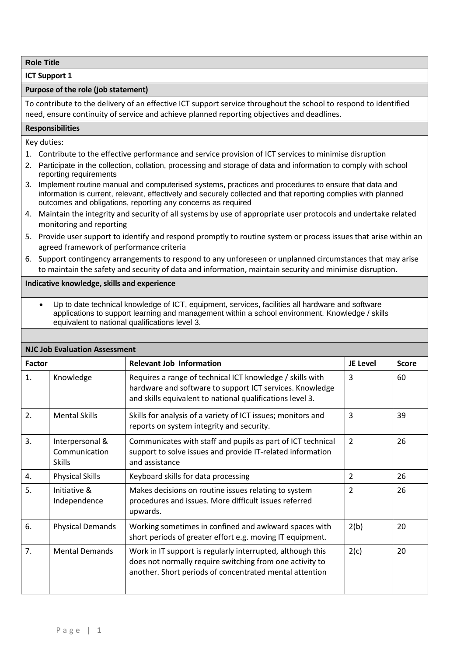**ICT Support 1**

#### **Purpose of the role (job statement)**

To contribute to the delivery of an effective ICT support service throughout the school to respond to identified need, ensure continuity of service and achieve planned reporting objectives and deadlines.

#### **Responsibilities**

Key duties:

- 1. Contribute to the effective performance and service provision of ICT services to minimise disruption
- 2. Participate in the collection, collation, processing and storage of data and information to comply with school reporting requirements
- 3. Implement routine manual and computerised systems, practices and procedures to ensure that data and information is current, relevant, effectively and securely collected and that reporting complies with planned outcomes and obligations, reporting any concerns as required
- 4. Maintain the integrity and security of all systems by use of appropriate user protocols and undertake related monitoring and reporting
- 5. Provide user support to identify and respond promptly to routine system or process issues that arise within an agreed framework of performance criteria
- 6. Support contingency arrangements to respond to any unforeseen or unplanned circumstances that may arise to maintain the safety and security of data and information, maintain security and minimise disruption.

#### **Indicative knowledge, skills and experience**

 Up to date technical knowledge of ICT, equipment, services, facilities all hardware and software applications to support learning and management within a school environment. Knowledge / skills equivalent to national qualifications level 3.

|        | , JON LVUIUULIOII AJJCJJIII                       |                                                                                                                                                                                    |                |              |  |  |
|--------|---------------------------------------------------|------------------------------------------------------------------------------------------------------------------------------------------------------------------------------------|----------------|--------------|--|--|
| Factor |                                                   | <b>Relevant Job Information</b>                                                                                                                                                    | JE Level       | <b>Score</b> |  |  |
| 1.     | Knowledge                                         | Requires a range of technical ICT knowledge / skills with<br>hardware and software to support ICT services. Knowledge<br>and skills equivalent to national qualifications level 3. | 3              | 60           |  |  |
| 2.     | <b>Mental Skills</b>                              | Skills for analysis of a variety of ICT issues; monitors and<br>reports on system integrity and security.                                                                          | 3              | 39           |  |  |
| 3.     | Interpersonal &<br>Communication<br><b>Skills</b> | Communicates with staff and pupils as part of ICT technical<br>support to solve issues and provide IT-related information<br>and assistance                                        | $\overline{2}$ | 26           |  |  |
| 4.     | <b>Physical Skills</b>                            | Keyboard skills for data processing                                                                                                                                                | $\overline{2}$ | 26           |  |  |
| 5.     | Initiative &<br>Independence                      | Makes decisions on routine issues relating to system<br>procedures and issues. More difficult issues referred<br>upwards.                                                          | 2              | 26           |  |  |
| 6.     | <b>Physical Demands</b>                           | Working sometimes in confined and awkward spaces with<br>short periods of greater effort e.g. moving IT equipment.                                                                 | 2(b)           | 20           |  |  |
| 7.     | <b>Mental Demands</b>                             | Work in IT support is regularly interrupted, although this<br>does not normally require switching from one activity to<br>another. Short periods of concentrated mental attention  | 2(c)           | 20           |  |  |

## **NJC Job Evaluation Assessment**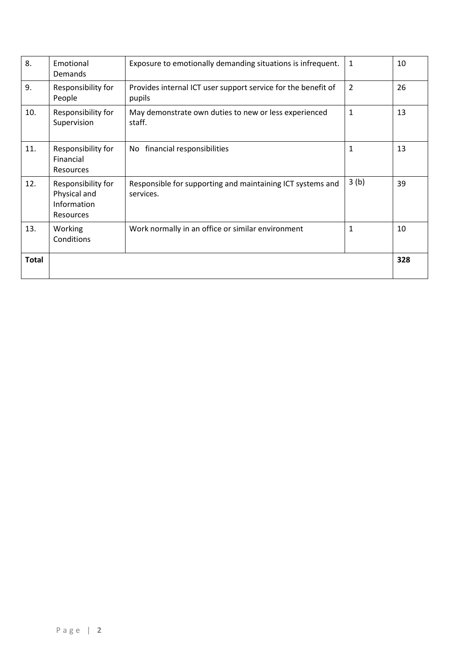| 8.           | Emotional<br>Demands                                           | Exposure to emotionally demanding situations is infrequent.             | 1            | 10  |
|--------------|----------------------------------------------------------------|-------------------------------------------------------------------------|--------------|-----|
| 9.           | Responsibility for<br>People                                   | Provides internal ICT user support service for the benefit of<br>pupils | 2            | 26  |
| 10.          | Responsibility for<br>Supervision                              | May demonstrate own duties to new or less experienced<br>staff.         | $\mathbf 1$  | 13  |
| 11.          | Responsibility for<br>Financial<br>Resources                   | financial responsibilities<br>No.                                       | $\mathbf{1}$ | 13  |
| 12.          | Responsibility for<br>Physical and<br>Information<br>Resources | Responsible for supporting and maintaining ICT systems and<br>services. | 3(b)         | 39  |
| 13.          | Working<br>Conditions                                          | Work normally in an office or similar environment                       | $\mathbf{1}$ | 10  |
| <b>Total</b> |                                                                |                                                                         |              | 328 |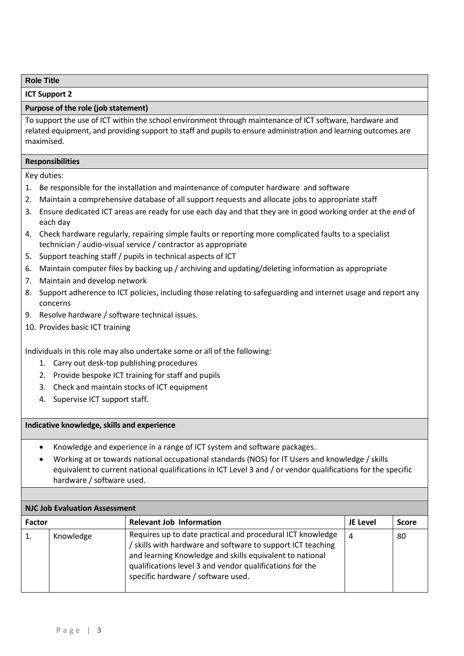**ICT Support 2**

## **Purpose of the role (job statement)**

To support the use of ICT within the school environment through maintenance of ICT software, hardware and related equipment, and providing support to staff and pupils to ensure administration and learning outcomes are maximised.

#### **Responsibilities**

Key duties:

- 1. Be responsible for the installation and maintenance of computer hardware and software
- 2. Maintain a comprehensive database of all support requests and allocate jobs to appropriate staff
- 3. Ensure dedicated ICT areas are ready for use each day and that they are in good working order at the end of each day
- 4. Check hardware regularly, repairing simple faults or reporting more complicated faults to a specialist technician / audio-visual service / contractor as appropriate
- 5. Support teaching staff / pupils in technical aspects of ICT
- 6. Maintain computer files by backing up / archiving and updating/deleting information as appropriate
- 7. Maintain and develop network
- 8. Support adherence to ICT policies, including those relating to safeguarding and internet usage and report any concerns
- 9. Resolve hardware / software technical issues.
- 10. Provides basic ICT training

Individuals in this role may also undertake some or all of the following:

- 1. Carry out desk-top publishing procedures
- 2. Provide bespoke ICT training for staff and pupils
- 3. Check and maintain stocks of ICT equipment
- 4. Supervise ICT support staff.

- Knowledge and experience in a range of ICT system and software packages.
- Working at or towards national occupational standards (NOS) for IT Users and knowledge / skills equivalent to current national qualifications in ICT Level 3 and / or vendor qualifications for the specific hardware / software used.

|               | <b>NJC Job Evaluation Assessment</b> |                                                                                                                                                                                                                                                                                         |          |              |  |
|---------------|--------------------------------------|-----------------------------------------------------------------------------------------------------------------------------------------------------------------------------------------------------------------------------------------------------------------------------------------|----------|--------------|--|
| <b>Factor</b> |                                      | <b>Relevant Job Information</b>                                                                                                                                                                                                                                                         | JE Level | <b>Score</b> |  |
|               | Knowledge                            | Requires up to date practical and procedural ICT knowledge<br>/ skills with hardware and software to support ICT teaching<br>and learning Knowledge and skills equivalent to national<br>qualifications level 3 and vendor qualifications for the<br>specific hardware / software used. | -4       | 80           |  |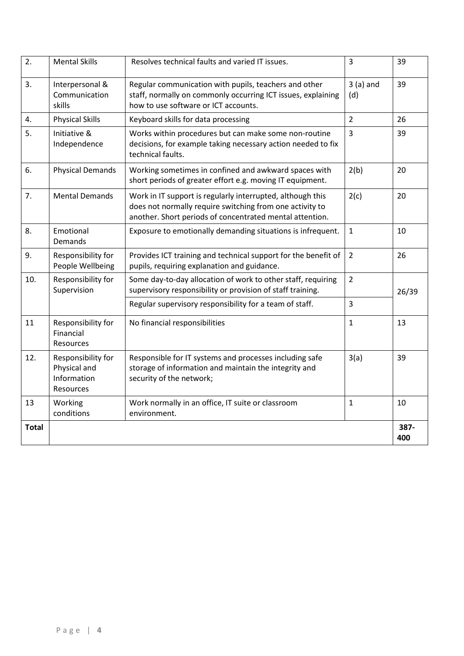| $\overline{2}$ . | <b>Mental Skills</b>                                           | Resolves technical faults and varied IT issues.                                                                                                                                    | 3                 | 39          |
|------------------|----------------------------------------------------------------|------------------------------------------------------------------------------------------------------------------------------------------------------------------------------------|-------------------|-------------|
| 3.               | Interpersonal &<br>Communication<br>skills                     | Regular communication with pupils, teachers and other<br>staff, normally on commonly occurring ICT issues, explaining<br>how to use software or ICT accounts.                      | $3(a)$ and<br>(d) | 39          |
| 4.               | <b>Physical Skills</b>                                         | Keyboard skills for data processing                                                                                                                                                | $\overline{2}$    | 26          |
| 5.               | Initiative &<br>Independence                                   | Works within procedures but can make some non-routine<br>decisions, for example taking necessary action needed to fix<br>technical faults.                                         | 3                 | 39          |
| 6.               | <b>Physical Demands</b>                                        | Working sometimes in confined and awkward spaces with<br>short periods of greater effort e.g. moving IT equipment.                                                                 | 2(b)              | 20          |
| 7.               | <b>Mental Demands</b>                                          | Work in IT support is regularly interrupted, although this<br>does not normally require switching from one activity to<br>another. Short periods of concentrated mental attention. | 2(c)              | 20          |
| 8.               | Emotional<br><b>Demands</b>                                    | Exposure to emotionally demanding situations is infrequent.                                                                                                                        | $\mathbf{1}$      | 10          |
| 9.               | Responsibility for<br>People Wellbeing                         | Provides ICT training and technical support for the benefit of<br>pupils, requiring explanation and guidance.                                                                      | $\overline{2}$    | 26          |
| 10.              | Responsibility for<br>Supervision                              | Some day-to-day allocation of work to other staff, requiring<br>supervisory responsibility or provision of staff training.                                                         | $\overline{2}$    | 26/39       |
|                  |                                                                | Regular supervisory responsibility for a team of staff.                                                                                                                            | 3                 |             |
| 11               | Responsibility for<br>Financial<br>Resources                   | No financial responsibilities                                                                                                                                                      | $\mathbf{1}$      | 13          |
| 12.              | Responsibility for<br>Physical and<br>Information<br>Resources | Responsible for IT systems and processes including safe<br>storage of information and maintain the integrity and<br>security of the network;                                       | 3(a)              | 39          |
| 13               | Working<br>conditions                                          | Work normally in an office, IT suite or classroom<br>environment.                                                                                                                  | $\mathbf{1}$      | 10          |
| <b>Total</b>     |                                                                |                                                                                                                                                                                    |                   | 387-<br>400 |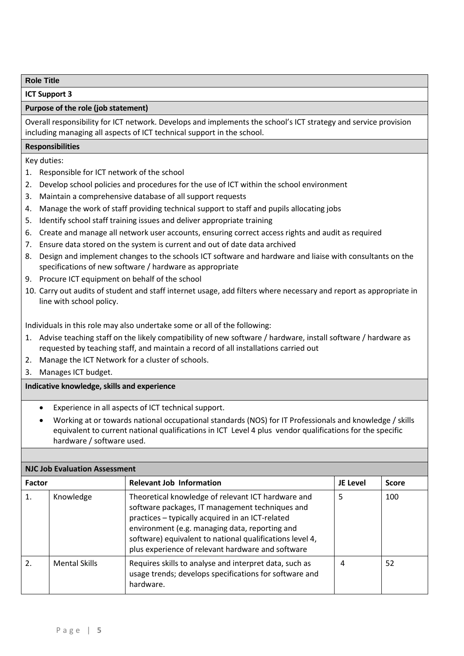**ICT Support 3**

## **Purpose of the role (job statement)**

Overall responsibility for ICT network. Develops and implements the school's ICT strategy and service provision including managing all aspects of ICT technical support in the school.

#### **Responsibilities**

Key duties:

- 1. Responsible for ICT network of the school
- 2. Develop school policies and procedures for the use of ICT within the school environment
- 3. Maintain a comprehensive database of all support requests
- 4. Manage the work of staff providing technical support to staff and pupils allocating jobs
- 5. Identify school staff training issues and deliver appropriate training
- 6. Create and manage all network user accounts, ensuring correct access rights and audit as required
- 7. Ensure data stored on the system is current and out of date data archived
- 8. Design and implement changes to the schools ICT software and hardware and liaise with consultants on the specifications of new software / hardware as appropriate
- 9. Procure ICT equipment on behalf of the school
- 10. Carry out audits of student and staff internet usage, add filters where necessary and report as appropriate in line with school policy.

Individuals in this role may also undertake some or all of the following:

- 1. Advise teaching staff on the likely compatibility of new software / hardware, install software / hardware as requested by teaching staff, and maintain a record of all installations carried out
- 2. Manage the ICT Network for a cluster of schools.
- 3. Manages ICT budget.

- Experience in all aspects of ICT technical support.
- Working at or towards national occupational standards (NOS) for IT Professionals and knowledge / skills equivalent to current national qualifications in ICT Level 4 plus vendor qualifications for the specific hardware / software used.

|                  | <b>NJC Job Evaluation Assessment</b> |                                                                                                                                                                                                                                                                                                                              |          |              |  |
|------------------|--------------------------------------|------------------------------------------------------------------------------------------------------------------------------------------------------------------------------------------------------------------------------------------------------------------------------------------------------------------------------|----------|--------------|--|
| <b>Factor</b>    |                                      | <b>Relevant Job Information</b>                                                                                                                                                                                                                                                                                              | JE Level | <b>Score</b> |  |
| 1.               | Knowledge                            | Theoretical knowledge of relevant ICT hardware and<br>software packages, IT management techniques and<br>practices - typically acquired in an ICT-related<br>environment (e.g. managing data, reporting and<br>software) equivalent to national qualifications level 4,<br>plus experience of relevant hardware and software | 5        | 100          |  |
| $\overline{2}$ . | <b>Mental Skills</b>                 | Requires skills to analyse and interpret data, such as<br>usage trends; develops specifications for software and<br>hardware.                                                                                                                                                                                                | 4        | 52           |  |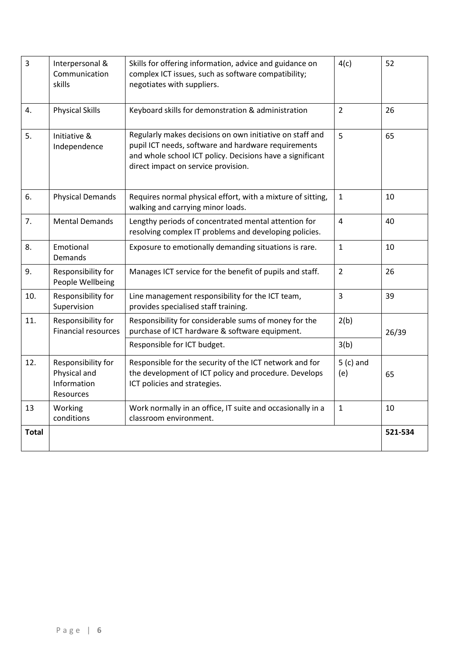| 3            | Interpersonal &<br>Communication<br>skills                     | Skills for offering information, advice and guidance on<br>complex ICT issues, such as software compatibility;<br>negotiates with suppliers.                                                                        | 4(c)               | 52      |
|--------------|----------------------------------------------------------------|---------------------------------------------------------------------------------------------------------------------------------------------------------------------------------------------------------------------|--------------------|---------|
| 4.           | <b>Physical Skills</b>                                         | Keyboard skills for demonstration & administration                                                                                                                                                                  | $\overline{2}$     | 26      |
| 5.           | Initiative &<br>Independence                                   | Regularly makes decisions on own initiative on staff and<br>pupil ICT needs, software and hardware requirements<br>and whole school ICT policy. Decisions have a significant<br>direct impact on service provision. | 5                  | 65      |
| 6.           | <b>Physical Demands</b>                                        | Requires normal physical effort, with a mixture of sitting,<br>walking and carrying minor loads.                                                                                                                    | $\mathbf{1}$       | 10      |
| 7.           | <b>Mental Demands</b>                                          | Lengthy periods of concentrated mental attention for<br>resolving complex IT problems and developing policies.                                                                                                      | $\overline{4}$     | 40      |
| 8.           | Emotional<br>Demands                                           | Exposure to emotionally demanding situations is rare.                                                                                                                                                               | $\mathbf{1}$       | 10      |
| 9.           | Responsibility for<br>People Wellbeing                         | Manages ICT service for the benefit of pupils and staff.                                                                                                                                                            | $\overline{2}$     | 26      |
| 10.          | Responsibility for<br>Supervision                              | Line management responsibility for the ICT team,<br>provides specialised staff training.                                                                                                                            | $\overline{3}$     | 39      |
| 11.          | Responsibility for<br><b>Financial resources</b>               | Responsibility for considerable sums of money for the<br>purchase of ICT hardware & software equipment.                                                                                                             | 2(b)               | 26/39   |
|              |                                                                | Responsible for ICT budget.                                                                                                                                                                                         | 3(b)               |         |
| 12.          | Responsibility for<br>Physical and<br>Information<br>Resources | Responsible for the security of the ICT network and for<br>the development of ICT policy and procedure. Develops<br>ICT policies and strategies.                                                                    | $5$ (c) and<br>(e) | 65      |
| 13           | Working<br>conditions                                          | Work normally in an office, IT suite and occasionally in a<br>classroom environment.                                                                                                                                | $\mathbf{1}$       | 10      |
| <b>Total</b> |                                                                |                                                                                                                                                                                                                     |                    | 521-534 |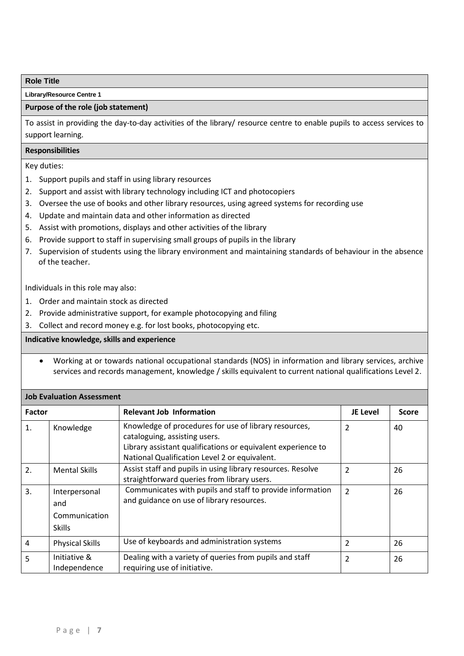**Library/Resource Centre 1**

#### **Purpose of the role (job statement)**

To assist in providing the day-to-day activities of the library/ resource centre to enable pupils to access services to support learning.

## **Responsibilities**

Key duties:

- 1. Support pupils and staff in using library resources
- 2. Support and assist with library technology including ICT and photocopiers
- 3. Oversee the use of books and other library resources, using agreed systems for recording use
- 4. Update and maintain data and other information as directed
- 5. Assist with promotions, displays and other activities of the library
- 6. Provide support to staff in supervising small groups of pupils in the library
- 7. Supervision of students using the library environment and maintaining standards of behaviour in the absence of the teacher.

Individuals in this role may also:

- 1. Order and maintain stock as directed
- 2. Provide administrative support, for example photocopying and filing
- 3. Collect and record money e.g. for lost books, photocopying etc.

## **Indicative knowledge, skills and experience**

 Working at or towards national occupational standards (NOS) in information and library services, archive services and records management, knowledge / skills equivalent to current national qualifications Level 2.

| <b>Job Evaluation Assessment</b> |                                                        |                                                                                                                                                                                                         |                 |              |
|----------------------------------|--------------------------------------------------------|---------------------------------------------------------------------------------------------------------------------------------------------------------------------------------------------------------|-----------------|--------------|
| <b>Factor</b>                    |                                                        | <b>Relevant Job Information</b>                                                                                                                                                                         | <b>JE Level</b> | <b>Score</b> |
| 1.                               | Knowledge                                              | Knowledge of procedures for use of library resources,<br>cataloguing, assisting users.<br>Library assistant qualifications or equivalent experience to<br>National Qualification Level 2 or equivalent. | 2               | 40           |
| 2.                               | <b>Mental Skills</b>                                   | Assist staff and pupils in using library resources. Resolve<br>straightforward queries from library users.                                                                                              | $\overline{2}$  | 26           |
| 3.                               | Interpersonal<br>and<br>Communication<br><b>Skills</b> | Communicates with pupils and staff to provide information<br>and guidance on use of library resources.                                                                                                  | $\overline{2}$  | 26           |
| 4                                | <b>Physical Skills</b>                                 | Use of keyboards and administration systems                                                                                                                                                             | 2               | 26           |
| 5                                | Initiative &<br>Independence                           | Dealing with a variety of queries from pupils and staff<br>requiring use of initiative.                                                                                                                 | 2               | 26           |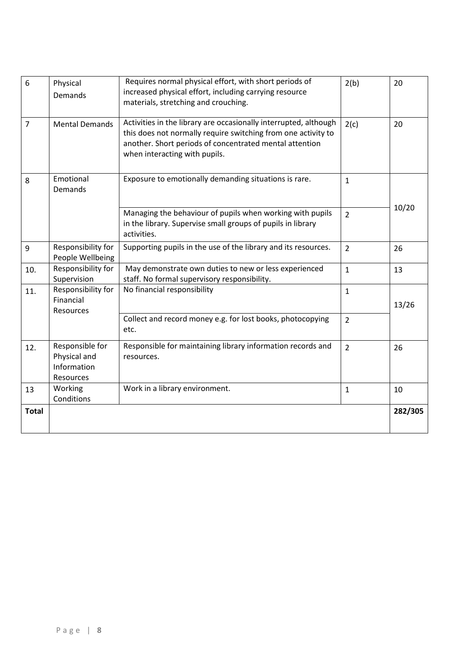| 6              | Physical<br>Demands                                         | Requires normal physical effort, with short periods of<br>increased physical effort, including carrying resource<br>materials, stretching and crouching.                                                                      | 2(b)           | 20      |
|----------------|-------------------------------------------------------------|-------------------------------------------------------------------------------------------------------------------------------------------------------------------------------------------------------------------------------|----------------|---------|
| $\overline{7}$ | <b>Mental Demands</b>                                       | Activities in the library are occasionally interrupted, although<br>this does not normally require switching from one activity to<br>another. Short periods of concentrated mental attention<br>when interacting with pupils. | 2(c)           | 20      |
| 8              | Emotional<br>Demands                                        | Exposure to emotionally demanding situations is rare.                                                                                                                                                                         | $\mathbf{1}$   |         |
|                |                                                             | Managing the behaviour of pupils when working with pupils<br>in the library. Supervise small groups of pupils in library<br>activities.                                                                                       | $\overline{2}$ | 10/20   |
| 9              | Responsibility for<br>People Wellbeing                      | Supporting pupils in the use of the library and its resources.                                                                                                                                                                | $\overline{2}$ | 26      |
| 10.            | Responsibility for<br>Supervision                           | May demonstrate own duties to new or less experienced<br>staff. No formal supervisory responsibility.                                                                                                                         | $\overline{1}$ | 13      |
| 11.            | Responsibility for<br>Financial<br>Resources                | No financial responsibility                                                                                                                                                                                                   | $\mathbf{1}$   | 13/26   |
|                |                                                             | Collect and record money e.g. for lost books, photocopying<br>etc.                                                                                                                                                            | $\overline{2}$ |         |
| 12.            | Responsible for<br>Physical and<br>Information<br>Resources | Responsible for maintaining library information records and<br>resources.                                                                                                                                                     | $\overline{2}$ | 26      |
| 13             | Working<br>Conditions                                       | Work in a library environment.                                                                                                                                                                                                | $\mathbf 1$    | 10      |
| <b>Total</b>   |                                                             |                                                                                                                                                                                                                               |                | 282/305 |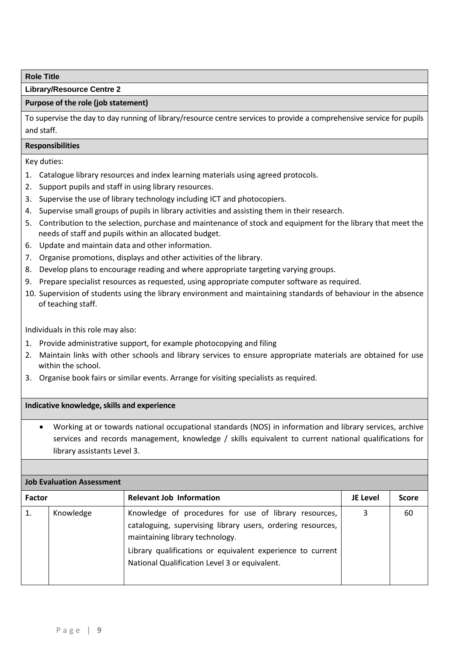## **Library/Resource Centre 2**

## **Purpose of the role (job statement)**

To supervise the day to day running of library/resource centre services to provide a comprehensive service for pupils and staff.

## **Responsibilities**

Key duties:

- 1. Catalogue library resources and index learning materials using agreed protocols.
- 2. Support pupils and staff in using library resources.
- 3. Supervise the use of library technology including ICT and photocopiers.
- 4. Supervise small groups of pupils in library activities and assisting them in their research.
- 5. Contribution to the selection, purchase and maintenance of stock and equipment for the library that meet the needs of staff and pupils within an allocated budget.
- 6. Update and maintain data and other information.
- 7. Organise promotions, displays and other activities of the library.
- 8. Develop plans to encourage reading and where appropriate targeting varying groups.
- 9. Prepare specialist resources as requested, using appropriate computer software as required.
- 10. Supervision of students using the library environment and maintaining standards of behaviour in the absence of teaching staff.

Individuals in this role may also:

- 1. Provide administrative support, for example photocopying and filing
- 2. Maintain links with other schools and library services to ensure appropriate materials are obtained for use within the school.
- 3. Organise book fairs or similar events. Arrange for visiting specialists as required.

#### **Indicative knowledge, skills and experience**

 Working at or towards national occupational standards (NOS) in information and library services, archive services and records management, knowledge / skills equivalent to current national qualifications for library assistants Level 3.

|               | <b>Job Evaluation Assessment</b> |                                                                                                                                                                                                                                                                        |                 |              |  |
|---------------|----------------------------------|------------------------------------------------------------------------------------------------------------------------------------------------------------------------------------------------------------------------------------------------------------------------|-----------------|--------------|--|
| <b>Factor</b> |                                  | <b>Relevant Job Information</b>                                                                                                                                                                                                                                        | <b>JE Level</b> | <b>Score</b> |  |
|               | Knowledge                        | Knowledge of procedures for use of library resources,<br>cataloguing, supervising library users, ordering resources,<br>maintaining library technology.<br>Library qualifications or equivalent experience to current<br>National Qualification Level 3 or equivalent. | 3               | 60           |  |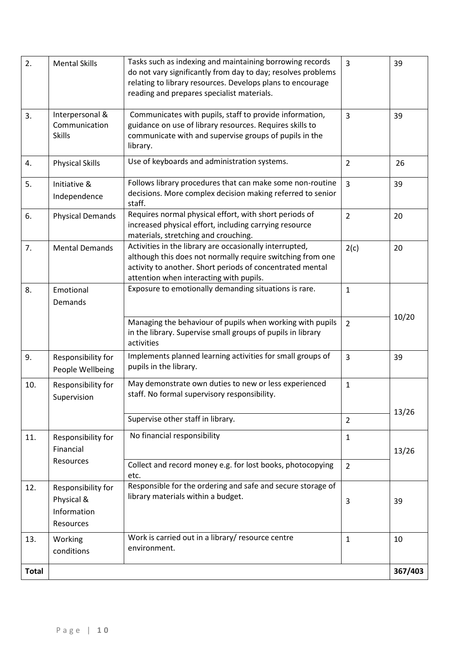| 2.           | <b>Mental Skills</b>                                         | Tasks such as indexing and maintaining borrowing records<br>do not vary significantly from day to day; resolves problems<br>relating to library resources. Develops plans to encourage<br>reading and prepares specialist materials. | $\overline{3}$ | 39      |
|--------------|--------------------------------------------------------------|--------------------------------------------------------------------------------------------------------------------------------------------------------------------------------------------------------------------------------------|----------------|---------|
| 3.           | Interpersonal &<br>Communication<br><b>Skills</b>            | Communicates with pupils, staff to provide information,<br>guidance on use of library resources. Requires skills to<br>communicate with and supervise groups of pupils in the<br>library.                                            | $\overline{3}$ | 39      |
| 4.           | <b>Physical Skills</b>                                       | Use of keyboards and administration systems.                                                                                                                                                                                         | $\overline{2}$ | 26      |
| 5.           | Initiative &<br>Independence                                 | Follows library procedures that can make some non-routine<br>decisions. More complex decision making referred to senior<br>staff.                                                                                                    | $\overline{3}$ | 39      |
| 6.           | <b>Physical Demands</b>                                      | Requires normal physical effort, with short periods of<br>increased physical effort, including carrying resource<br>materials, stretching and crouching.                                                                             | $\overline{2}$ | 20      |
| 7.           | <b>Mental Demands</b>                                        | Activities in the library are occasionally interrupted,<br>although this does not normally require switching from one<br>activity to another. Short periods of concentrated mental<br>attention when interacting with pupils.        | 2(c)           | 20      |
| 8.           | Emotional<br>Demands                                         | Exposure to emotionally demanding situations is rare.                                                                                                                                                                                | $\mathbf{1}$   |         |
|              |                                                              | Managing the behaviour of pupils when working with pupils<br>in the library. Supervise small groups of pupils in library<br>activities                                                                                               | $\overline{2}$ | 10/20   |
| 9.           | Responsibility for<br>People Wellbeing                       | Implements planned learning activities for small groups of<br>pupils in the library.                                                                                                                                                 | $\overline{3}$ | 39      |
| 10.          | Responsibility for<br>Supervision                            | May demonstrate own duties to new or less experienced<br>staff. No formal supervisory responsibility.                                                                                                                                | $\mathbf{1}$   | 13/26   |
|              |                                                              | Supervise other staff in library.                                                                                                                                                                                                    | $\overline{2}$ |         |
| 11.          | Responsibility for<br>Financial                              | No financial responsibility                                                                                                                                                                                                          | $\mathbf{1}$   | 13/26   |
|              | Resources                                                    | Collect and record money e.g. for lost books, photocopying<br>etc.                                                                                                                                                                   | $\overline{2}$ |         |
| 12.          | Responsibility for<br>Physical &<br>Information<br>Resources | Responsible for the ordering and safe and secure storage of<br>library materials within a budget.                                                                                                                                    | 3              | 39      |
| 13.          | Working<br>conditions                                        | Work is carried out in a library/ resource centre<br>environment.                                                                                                                                                                    | $\mathbf{1}$   | 10      |
| <b>Total</b> |                                                              |                                                                                                                                                                                                                                      |                | 367/403 |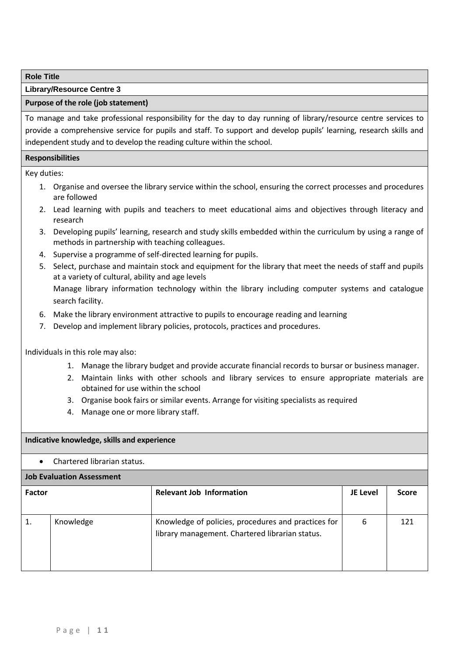## **Library/Resource Centre 3**

## **Purpose of the role (job statement)**

To manage and take professional responsibility for the day to day running of library/resource centre services to provide a comprehensive service for pupils and staff. To support and develop pupils' learning, research skills and independent study and to develop the reading culture within the school.

## **Responsibilities**

Key duties:

- 1. Organise and oversee the library service within the school, ensuring the correct processes and procedures are followed
- 2. Lead learning with pupils and teachers to meet educational aims and objectives through literacy and research
- 3. Developing pupils' learning, research and study skills embedded within the curriculum by using a range of methods in partnership with teaching colleagues.
- 4. Supervise a programme of self-directed learning for pupils.
- 5. Select, purchase and maintain stock and equipment for the library that meet the needs of staff and pupils at a variety of cultural, ability and age levels Manage library information technology within the library including computer systems and catalogue search facility.
- 6. Make the library environment attractive to pupils to encourage reading and learning
- 7. Develop and implement library policies, protocols, practices and procedures.

Individuals in this role may also:

- 1. Manage the library budget and provide accurate financial records to bursar or business manager.
- 2. Maintain links with other schools and library services to ensure appropriate materials are obtained for use within the school
- 3. Organise book fairs or similar events. Arrange for visiting specialists as required
- 4. Manage one or more library staff.

#### **Indicative knowledge, skills and experience**

Chartered librarian status.

## **Job Evaluation Assessment**

| <b>Factor</b> |           | <b>Relevant Job Information</b>                                                                        | <b>JE Level</b> | <b>Score</b> |
|---------------|-----------|--------------------------------------------------------------------------------------------------------|-----------------|--------------|
|               | Knowledge | Knowledge of policies, procedures and practices for<br>library management. Chartered librarian status. | 6               | 121          |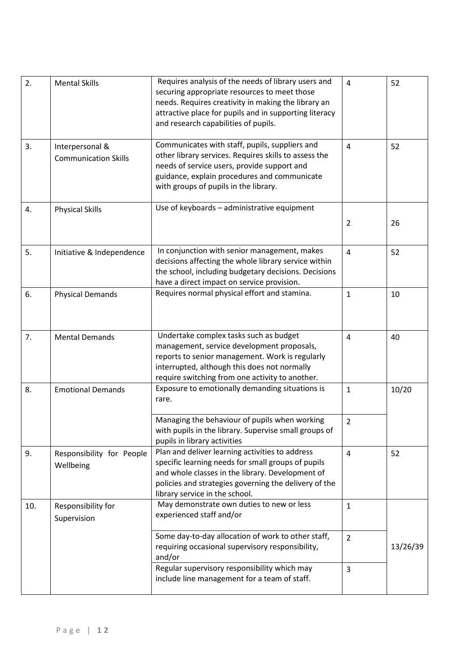| 2.  | <b>Mental Skills</b>                           | Requires analysis of the needs of library users and<br>securing appropriate resources to meet those<br>needs. Requires creativity in making the library an<br>attractive place for pupils and in supporting literacy<br>and research capabilities of pupils. | $\overline{4}$ | 52       |
|-----|------------------------------------------------|--------------------------------------------------------------------------------------------------------------------------------------------------------------------------------------------------------------------------------------------------------------|----------------|----------|
| 3.  | Interpersonal &<br><b>Communication Skills</b> | Communicates with staff, pupils, suppliers and<br>other library services. Requires skills to assess the<br>needs of service users, provide support and<br>guidance, explain procedures and communicate<br>with groups of pupils in the library.              | $\overline{4}$ | 52       |
| 4.  | <b>Physical Skills</b>                         | Use of keyboards - administrative equipment                                                                                                                                                                                                                  | $\overline{2}$ | 26       |
| 5.  | Initiative & Independence                      | In conjunction with senior management, makes<br>decisions affecting the whole library service within<br>the school, including budgetary decisions. Decisions<br>have a direct impact on service provision.                                                   | $\overline{4}$ | 52       |
| 6.  | <b>Physical Demands</b>                        | Requires normal physical effort and stamina.                                                                                                                                                                                                                 | $\mathbf{1}$   | 10       |
| 7.  | <b>Mental Demands</b>                          | Undertake complex tasks such as budget<br>management, service development proposals,<br>reports to senior management. Work is regularly<br>interrupted, although this does not normally<br>require switching from one activity to another.                   | $\overline{4}$ | 40       |
| 8.  | <b>Emotional Demands</b>                       | Exposure to emotionally demanding situations is<br>rare.                                                                                                                                                                                                     | $\mathbf{1}$   | 10/20    |
|     |                                                | Managing the behaviour of pupils when working<br>with pupils in the library. Supervise small groups of<br>pupils in library activities                                                                                                                       | $\overline{2}$ |          |
| 9.  | Responsibility for People<br>Wellbeing         | Plan and deliver learning activities to address<br>specific learning needs for small groups of pupils<br>and whole classes in the library. Development of<br>policies and strategies governing the delivery of the<br>library service in the school.         | $\overline{4}$ | 52       |
| 10. | Responsibility for<br>Supervision              | May demonstrate own duties to new or less<br>experienced staff and/or                                                                                                                                                                                        | $\mathbf{1}$   |          |
|     |                                                | Some day-to-day allocation of work to other staff,<br>requiring occasional supervisory responsibility,<br>and/or                                                                                                                                             | $\overline{2}$ | 13/26/39 |
|     |                                                | Regular supervisory responsibility which may<br>include line management for a team of staff.                                                                                                                                                                 | $\overline{3}$ |          |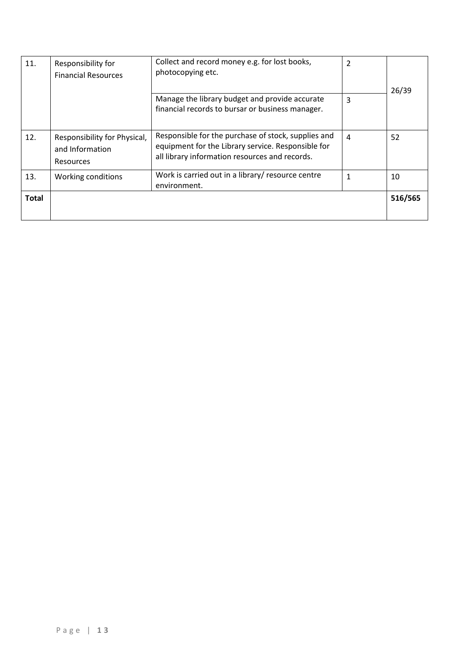| 11.          | Responsibility for<br><b>Financial Resources</b>                    | Collect and record money e.g. for lost books,<br>photocopying etc.                                                                                          | $\overline{2}$ | 26/39   |
|--------------|---------------------------------------------------------------------|-------------------------------------------------------------------------------------------------------------------------------------------------------------|----------------|---------|
|              |                                                                     | Manage the library budget and provide accurate<br>financial records to bursar or business manager.                                                          | 3              |         |
| 12.          | Responsibility for Physical,<br>and Information<br><b>Resources</b> | Responsible for the purchase of stock, supplies and<br>equipment for the Library service. Responsible for<br>all library information resources and records. | $\overline{a}$ | 52      |
| 13.          | Working conditions                                                  | Work is carried out in a library/ resource centre<br>environment.                                                                                           | 1              | 10      |
| <b>Total</b> |                                                                     |                                                                                                                                                             |                | 516/565 |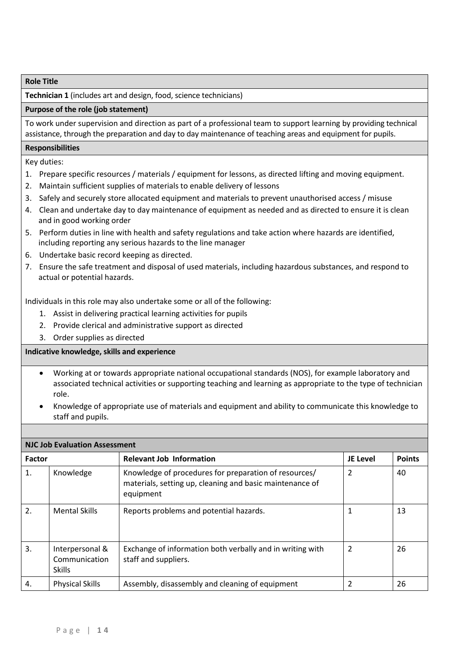#### **Technician 1** (includes art and design, food, science technicians)

#### **Purpose of the role (job statement)**

To work under supervision and direction as part of a professional team to support learning by providing technical assistance, through the preparation and day to day maintenance of teaching areas and equipment for pupils.

#### **Responsibilities**

Key duties:

- 1. Prepare specific resources / materials / equipment for lessons, as directed lifting and moving equipment.
- 2. Maintain sufficient supplies of materials to enable delivery of lessons
- 3. Safely and securely store allocated equipment and materials to prevent unauthorised access / misuse
- 4. Clean and undertake day to day maintenance of equipment as needed and as directed to ensure it is clean and in good working order
- 5. Perform duties in line with health and safety regulations and take action where hazards are identified, including reporting any serious hazards to the line manager
- 6. Undertake basic record keeping as directed.
- 7. Ensure the safe treatment and disposal of used materials, including hazardous substances, and respond to actual or potential hazards.

Individuals in this role may also undertake some or all of the following:

- 1. Assist in delivering practical learning activities for pupils
- 2. Provide clerical and administrative support as directed
- 3. Order supplies as directed

- Working at or towards appropriate national occupational standards (NOS), for example laboratory and associated technical activities or supporting teaching and learning as appropriate to the type of technician role.
- Knowledge of appropriate use of materials and equipment and ability to communicate this knowledge to staff and pupils.

| <b>NJC Job Evaluation Assessment</b> |                                                   |                                                                                                                                |                 |               |  |
|--------------------------------------|---------------------------------------------------|--------------------------------------------------------------------------------------------------------------------------------|-----------------|---------------|--|
| <b>Factor</b>                        |                                                   | <b>Relevant Job Information</b>                                                                                                | <b>JE Level</b> | <b>Points</b> |  |
| 1.                                   | Knowledge                                         | Knowledge of procedures for preparation of resources/<br>materials, setting up, cleaning and basic maintenance of<br>equipment | $\overline{2}$  | 40            |  |
| 2.                                   | <b>Mental Skills</b>                              | Reports problems and potential hazards.                                                                                        | 1               | 13            |  |
| 3.                                   | Interpersonal &<br>Communication<br><b>Skills</b> | Exchange of information both verbally and in writing with<br>staff and suppliers.                                              | $\overline{2}$  | 26            |  |
| 4.                                   | <b>Physical Skills</b>                            | Assembly, disassembly and cleaning of equipment                                                                                | 2               | 26            |  |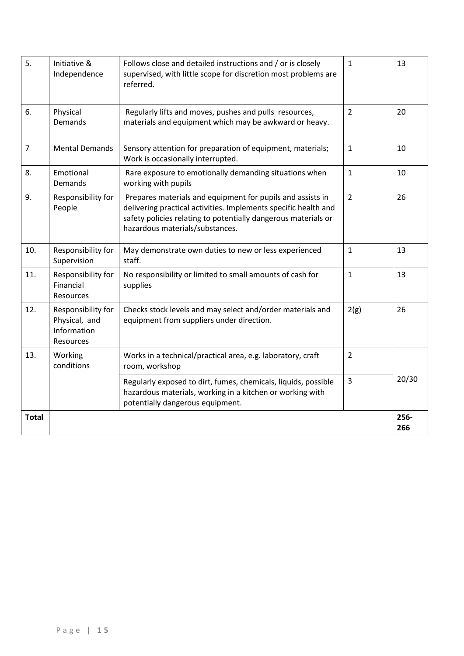| 5.             | Initiative &<br>Independence                                    | Follows close and detailed instructions and / or is closely<br>supervised, with little scope for discretion most problems are<br>referred.                                                                                         | $\mathbf 1$    | 13          |
|----------------|-----------------------------------------------------------------|------------------------------------------------------------------------------------------------------------------------------------------------------------------------------------------------------------------------------------|----------------|-------------|
| 6.             | Physical<br><b>Demands</b>                                      | Regularly lifts and moves, pushes and pulls resources,<br>materials and equipment which may be awkward or heavy.                                                                                                                   | $\overline{2}$ | 20          |
| $\overline{7}$ | <b>Mental Demands</b>                                           | Sensory attention for preparation of equipment, materials;<br>Work is occasionally interrupted.                                                                                                                                    | $\mathbf 1$    | 10          |
| 8.             | Emotional<br>Demands                                            | Rare exposure to emotionally demanding situations when<br>working with pupils                                                                                                                                                      | $\mathbf 1$    | 10          |
| 9.             | Responsibility for<br>People                                    | Prepares materials and equipment for pupils and assists in<br>delivering practical activities. Implements specific health and<br>safety policies relating to potentially dangerous materials or<br>hazardous materials/substances. | $\overline{2}$ | 26          |
| 10.            | Responsibility for<br>Supervision                               | May demonstrate own duties to new or less experienced<br>staff.                                                                                                                                                                    | $\mathbf 1$    | 13          |
| 11.            | Responsibility for<br>Financial<br>Resources                    | No responsibility or limited to small amounts of cash for<br>supplies                                                                                                                                                              | $\mathbf{1}$   | 13          |
| 12.            | Responsibility for<br>Physical, and<br>Information<br>Resources | Checks stock levels and may select and/order materials and<br>equipment from suppliers under direction.                                                                                                                            | 2(g)           | 26          |
| 13.            | Working<br>conditions                                           | Works in a technical/practical area, e.g. laboratory, craft<br>room, workshop                                                                                                                                                      | $\overline{2}$ |             |
|                |                                                                 | Regularly exposed to dirt, fumes, chemicals, liquids, possible<br>hazardous materials, working in a kitchen or working with<br>potentially dangerous equipment.                                                                    | $\overline{3}$ | 20/30       |
| <b>Total</b>   |                                                                 |                                                                                                                                                                                                                                    |                | 256-<br>266 |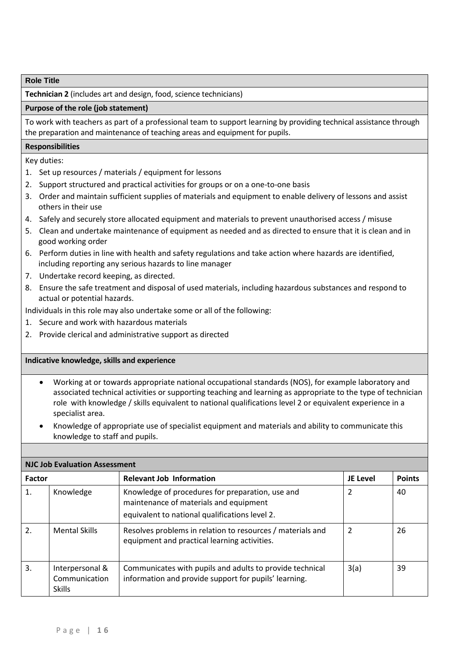**Technician 2** (includes art and design, food, science technicians)

#### **Purpose of the role (job statement)**

To work with teachers as part of a professional team to support learning by providing technical assistance through the preparation and maintenance of teaching areas and equipment for pupils.

#### **Responsibilities**

Key duties:

- 1. Set up resources / materials / equipment for lessons
- 2. Support structured and practical activities for groups or on a one-to-one basis
- 3. Order and maintain sufficient supplies of materials and equipment to enable delivery of lessons and assist others in their use
- 4. Safely and securely store allocated equipment and materials to prevent unauthorised access / misuse
- 5. Clean and undertake maintenance of equipment as needed and as directed to ensure that it is clean and in good working order
- 6. Perform duties in line with health and safety regulations and take action where hazards are identified, including reporting any serious hazards to line manager
- 7. Undertake record keeping, as directed.
- 8. Ensure the safe treatment and disposal of used materials, including hazardous substances and respond to actual or potential hazards.

Individuals in this role may also undertake some or all of the following:

- 1. Secure and work with hazardous materials
- 2. Provide clerical and administrative support as directed

- Working at or towards appropriate national occupational standards (NOS), for example laboratory and associated technical activities or supporting teaching and learning as appropriate to the type of technician role with knowledge / skills equivalent to national qualifications level 2 or equivalent experience in a specialist area.
- Knowledge of appropriate use of specialist equipment and materials and ability to communicate this knowledge to staff and pupils.

| <b>NJC Job Evaluation Assessment</b> |                                                   |                                                                                                                                              |                 |               |  |
|--------------------------------------|---------------------------------------------------|----------------------------------------------------------------------------------------------------------------------------------------------|-----------------|---------------|--|
| <b>Factor</b>                        |                                                   | <b>Relevant Job Information</b>                                                                                                              | <b>JE Level</b> | <b>Points</b> |  |
| 1.                                   | Knowledge                                         | Knowledge of procedures for preparation, use and<br>maintenance of materials and equipment<br>equivalent to national qualifications level 2. | $\overline{2}$  | 40            |  |
| 2.                                   | <b>Mental Skills</b>                              | Resolves problems in relation to resources / materials and<br>equipment and practical learning activities.                                   | 2               | 26            |  |
| 3.                                   | Interpersonal &<br>Communication<br><b>Skills</b> | Communicates with pupils and adults to provide technical<br>information and provide support for pupils' learning.                            | 3(a)            | 39            |  |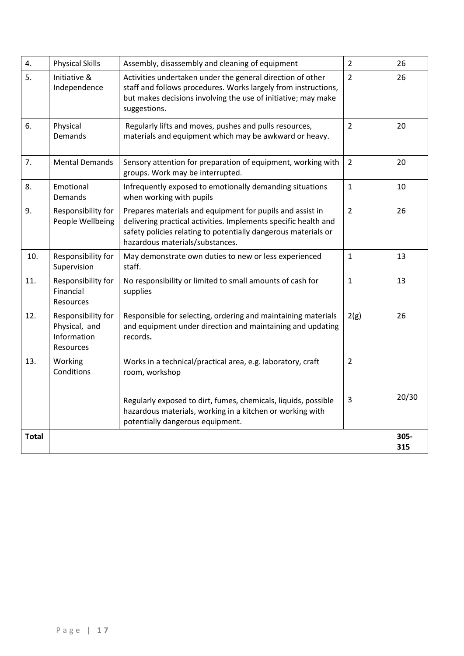| 4.           | <b>Physical Skills</b>                                          | Assembly, disassembly and cleaning of equipment                                                                                                                                                                                   | $\overline{2}$ | 26          |
|--------------|-----------------------------------------------------------------|-----------------------------------------------------------------------------------------------------------------------------------------------------------------------------------------------------------------------------------|----------------|-------------|
| 5.           | Initiative &<br>Independence                                    | Activities undertaken under the general direction of other<br>staff and follows procedures. Works largely from instructions,<br>but makes decisions involving the use of initiative; may make<br>suggestions.                     | $\overline{2}$ | 26          |
| 6.           | Physical<br>Demands                                             | Regularly lifts and moves, pushes and pulls resources,<br>materials and equipment which may be awkward or heavy.                                                                                                                  | $\overline{2}$ | 20          |
| 7.           | <b>Mental Demands</b>                                           | Sensory attention for preparation of equipment, working with<br>groups. Work may be interrupted.                                                                                                                                  | $\overline{2}$ | 20          |
| 8.           | Emotional<br>Demands                                            | Infrequently exposed to emotionally demanding situations<br>when working with pupils                                                                                                                                              | $\mathbf 1$    | 10          |
| 9.           | Responsibility for<br>People Wellbeing                          | Prepares materials and equipment for pupils and assist in<br>delivering practical activities. Implements specific health and<br>safety policies relating to potentially dangerous materials or<br>hazardous materials/substances. | $\overline{2}$ | 26          |
| 10.          | Responsibility for<br>Supervision                               | May demonstrate own duties to new or less experienced<br>staff.                                                                                                                                                                   | $\mathbf 1$    | 13          |
| 11.          | Responsibility for<br>Financial<br>Resources                    | No responsibility or limited to small amounts of cash for<br>supplies                                                                                                                                                             | $\mathbf 1$    | 13          |
| 12.          | Responsibility for<br>Physical, and<br>Information<br>Resources | Responsible for selecting, ordering and maintaining materials<br>and equipment under direction and maintaining and updating<br>records.                                                                                           | 2(g)           | 26          |
| 13.          | Working<br>Conditions                                           | Works in a technical/practical area, e.g. laboratory, craft<br>room, workshop                                                                                                                                                     | $\overline{2}$ |             |
|              |                                                                 | Regularly exposed to dirt, fumes, chemicals, liquids, possible<br>hazardous materials, working in a kitchen or working with<br>potentially dangerous equipment.                                                                   | $\overline{3}$ | 20/30       |
| <b>Total</b> |                                                                 |                                                                                                                                                                                                                                   |                | 305-<br>315 |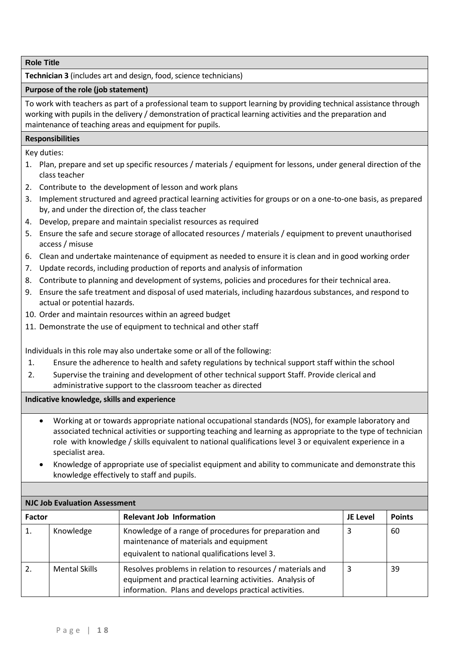**Technician 3** (includes art and design, food, science technicians)

## **Purpose of the role (job statement)**

To work with teachers as part of a professional team to support learning by providing technical assistance through working with pupils in the delivery / demonstration of practical learning activities and the preparation and maintenance of teaching areas and equipment for pupils.

## **Responsibilities**

Key duties:

- 1. Plan, prepare and set up specific resources / materials / equipment for lessons, under general direction of the class teacher
- 2. Contribute to the development of lesson and work plans
- 3. Implement structured and agreed practical learning activities for groups or on a one-to-one basis, as prepared by, and under the direction of, the class teacher
- 4. Develop, prepare and maintain specialist resources as required
- 5. Ensure the safe and secure storage of allocated resources / materials / equipment to prevent unauthorised access / misuse
- 6. Clean and undertake maintenance of equipment as needed to ensure it is clean and in good working order
- 7. Update records, including production of reports and analysis of information
- 8. Contribute to planning and development of systems, policies and procedures for their technical area.
- 9. Ensure the safe treatment and disposal of used materials, including hazardous substances, and respond to actual or potential hazards.
- 10. Order and maintain resources within an agreed budget
- 11. Demonstrate the use of equipment to technical and other staff

Individuals in this role may also undertake some or all of the following:

- 1. Ensure the adherence to health and safety regulations by technical support staff within the school
- 2. Supervise the training and development of other technical support Staff. Provide clerical and administrative support to the classroom teacher as directed

- Working at or towards appropriate national occupational standards (NOS), for example laboratory and associated technical activities or supporting teaching and learning as appropriate to the type of technician role with knowledge / skills equivalent to national qualifications level 3 or equivalent experience in a specialist area.
- Knowledge of appropriate use of specialist equipment and ability to communicate and demonstrate this knowledge effectively to staff and pupils.

| <b>NJC Job Evaluation Assessment</b> |                      |                                                                                                                                                                                 |          |               |  |
|--------------------------------------|----------------------|---------------------------------------------------------------------------------------------------------------------------------------------------------------------------------|----------|---------------|--|
| <b>Factor</b>                        |                      | <b>Relevant Job Information</b>                                                                                                                                                 | JE Level | <b>Points</b> |  |
| 1.                                   | Knowledge            | Knowledge of a range of procedures for preparation and<br>maintenance of materials and equipment<br>equivalent to national qualifications level 3.                              | 3        | 60            |  |
|                                      | <b>Mental Skills</b> | Resolves problems in relation to resources / materials and<br>equipment and practical learning activities. Analysis of<br>information. Plans and develops practical activities. | 3        | 39            |  |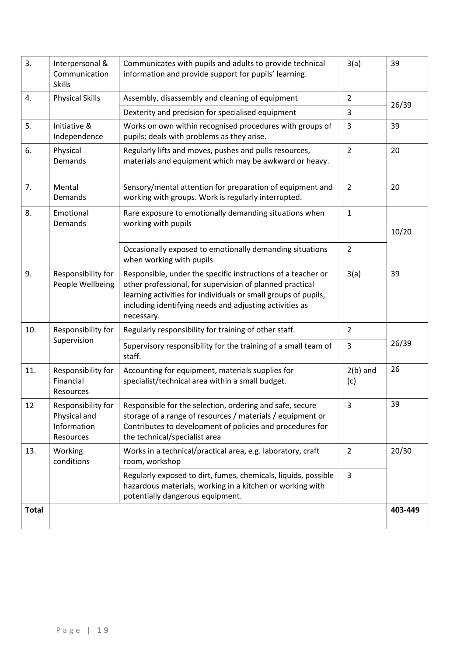| 3.           | Interpersonal &<br>Communication<br><b>Skills</b> | Communicates with pupils and adults to provide technical<br>information and provide support for pupils' learning.                                                                                                                                                   | 3(a)              | 39      |
|--------------|---------------------------------------------------|---------------------------------------------------------------------------------------------------------------------------------------------------------------------------------------------------------------------------------------------------------------------|-------------------|---------|
| 4.           | <b>Physical Skills</b>                            | Assembly, disassembly and cleaning of equipment                                                                                                                                                                                                                     | $\overline{2}$    | 26/39   |
|              |                                                   | Dexterity and precision for specialised equipment                                                                                                                                                                                                                   | 3                 |         |
| 5.           | Initiative &<br>Independence                      | Works on own within recognised procedures with groups of<br>pupils; deals with problems as they arise.                                                                                                                                                              | 3                 | 39      |
| 6.           | Physical<br><b>Demands</b>                        | Regularly lifts and moves, pushes and pulls resources,<br>materials and equipment which may be awkward or heavy.                                                                                                                                                    | $\overline{2}$    | 20      |
| 7.           | Mental<br>Demands                                 | Sensory/mental attention for preparation of equipment and<br>working with groups. Work is regularly interrupted.                                                                                                                                                    | $\overline{2}$    | 20      |
| 8.           | Emotional<br>Demands                              | Rare exposure to emotionally demanding situations when<br>working with pupils                                                                                                                                                                                       | $\mathbf{1}$      | 10/20   |
|              |                                                   | Occasionally exposed to emotionally demanding situations<br>when working with pupils.                                                                                                                                                                               | 2                 |         |
| 9.           | Responsibility for<br>People Wellbeing            | Responsible, under the specific instructions of a teacher or<br>other professional, for supervision of planned practical<br>learning activities for individuals or small groups of pupils,<br>including identifying needs and adjusting activities as<br>necessary. | 3(a)              | 39      |
| 10.          | Responsibility for                                | Regularly responsibility for training of other staff.                                                                                                                                                                                                               | $\overline{2}$    |         |
|              | Supervision                                       | Supervisory responsibility for the training of a small team of<br>staff.                                                                                                                                                                                            | 3                 | 26/39   |
| 11.          | Responsibility for<br>Financial<br>Resources      | Accounting for equipment, materials supplies for<br>specialist/technical area within a small budget.                                                                                                                                                                | $2(b)$ and<br>(c) | 26      |
| 12           | Physical and<br>Information<br>Resources          | Responsibility for   Responsible for the selection, ordering and safe, secure<br>storage of a range of resources / materials / equipment or<br>Contributes to development of policies and procedures for<br>the technical/specialist area                           | $\overline{3}$    | 39      |
| 13.          | Working<br>conditions                             | Works in a technical/practical area, e.g. laboratory, craft<br>room, workshop                                                                                                                                                                                       | $\overline{2}$    | 20/30   |
|              |                                                   | Regularly exposed to dirt, fumes, chemicals, liquids, possible<br>hazardous materials, working in a kitchen or working with<br>potentially dangerous equipment.                                                                                                     | 3                 |         |
| <b>Total</b> |                                                   |                                                                                                                                                                                                                                                                     |                   | 403-449 |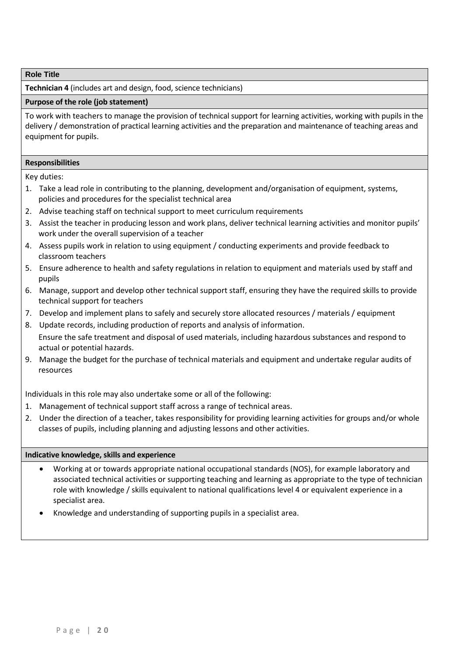**Technician 4** (includes art and design, food, science technicians)

#### **Purpose of the role (job statement)**

To work with teachers to manage the provision of technical support for learning activities, working with pupils in the delivery / demonstration of practical learning activities and the preparation and maintenance of teaching areas and equipment for pupils.

#### **Responsibilities**

Key duties:

- 1. Take a lead role in contributing to the planning, development and/organisation of equipment, systems, policies and procedures for the specialist technical area
- 2. Advise teaching staff on technical support to meet curriculum requirements
- 3. Assist the teacher in producing lesson and work plans, deliver technical learning activities and monitor pupils' work under the overall supervision of a teacher
- 4. Assess pupils work in relation to using equipment / conducting experiments and provide feedback to classroom teachers
- 5. Ensure adherence to health and safety regulations in relation to equipment and materials used by staff and pupils
- 6. Manage, support and develop other technical support staff, ensuring they have the required skills to provide technical support for teachers
- 7. Develop and implement plans to safely and securely store allocated resources / materials / equipment
- 8. Update records, including production of reports and analysis of information. Ensure the safe treatment and disposal of used materials, including hazardous substances and respond to actual or potential hazards.
- 9. Manage the budget for the purchase of technical materials and equipment and undertake regular audits of resources

Individuals in this role may also undertake some or all of the following:

- 1. Management of technical support staff across a range of technical areas.
- 2. Under the direction of a teacher, takes responsibility for providing learning activities for groups and/or whole classes of pupils, including planning and adjusting lessons and other activities.

- Working at or towards appropriate national occupational standards (NOS), for example laboratory and associated technical activities or supporting teaching and learning as appropriate to the type of technician role with knowledge / skills equivalent to national qualifications level 4 or equivalent experience in a specialist area.
- Knowledge and understanding of supporting pupils in a specialist area.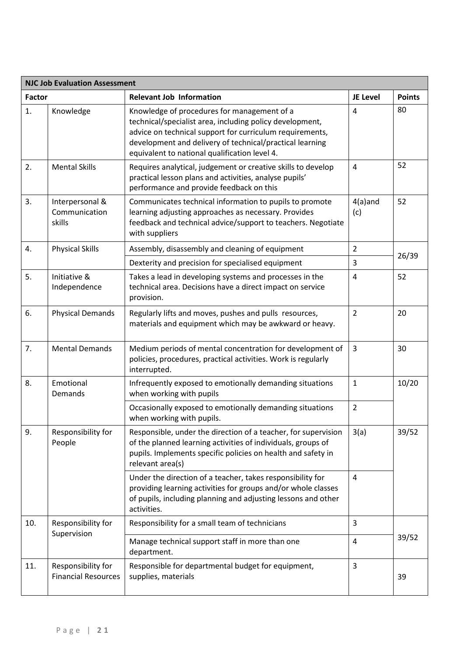| <b>NJC Job Evaluation Assessment</b> |                                                  |                                                                                                                                                                                                                                                                                  |                   |               |
|--------------------------------------|--------------------------------------------------|----------------------------------------------------------------------------------------------------------------------------------------------------------------------------------------------------------------------------------------------------------------------------------|-------------------|---------------|
| <b>Factor</b>                        |                                                  | <b>Relevant Job Information</b>                                                                                                                                                                                                                                                  | JE Level          | <b>Points</b> |
| 1.                                   | Knowledge                                        | Knowledge of procedures for management of a<br>technical/specialist area, including policy development,<br>advice on technical support for curriculum requirements,<br>development and delivery of technical/practical learning<br>equivalent to national qualification level 4. | 4                 | 80            |
| 2.                                   | <b>Mental Skills</b>                             | Requires analytical, judgement or creative skills to develop<br>practical lesson plans and activities, analyse pupils'<br>performance and provide feedback on this                                                                                                               | $\overline{4}$    | 52            |
| 3.                                   | Interpersonal &<br>Communication<br>skills       | Communicates technical information to pupils to promote<br>learning adjusting approaches as necessary. Provides<br>feedback and technical advice/support to teachers. Negotiate<br>with suppliers                                                                                | $4(a)$ and<br>(c) | 52            |
| 4.                                   | <b>Physical Skills</b>                           | Assembly, disassembly and cleaning of equipment                                                                                                                                                                                                                                  | $\overline{2}$    | 26/39         |
|                                      |                                                  | Dexterity and precision for specialised equipment                                                                                                                                                                                                                                | 3                 |               |
| 5.                                   | Initiative &<br>Independence                     | Takes a lead in developing systems and processes in the<br>technical area. Decisions have a direct impact on service<br>provision.                                                                                                                                               | 4                 | 52            |
| 6.                                   | <b>Physical Demands</b>                          | Regularly lifts and moves, pushes and pulls resources,<br>materials and equipment which may be awkward or heavy.                                                                                                                                                                 | $\overline{2}$    | 20            |
| 7.                                   | <b>Mental Demands</b>                            | Medium periods of mental concentration for development of<br>policies, procedures, practical activities. Work is regularly<br>interrupted.                                                                                                                                       | $\overline{3}$    | 30            |
| 8.                                   | Emotional<br>Demands                             | Infrequently exposed to emotionally demanding situations<br>when working with pupils                                                                                                                                                                                             | 1                 | 10/20         |
|                                      |                                                  | Occasionally exposed to emotionally demanding situations<br>when working with pupils.                                                                                                                                                                                            | $\overline{2}$    |               |
| 9.                                   | Responsibility for<br>People                     | Responsible, under the direction of a teacher, for supervision<br>of the planned learning activities of individuals, groups of<br>pupils. Implements specific policies on health and safety in<br>relevant area(s)                                                               | 3(a)              | 39/52         |
|                                      |                                                  | Under the direction of a teacher, takes responsibility for<br>providing learning activities for groups and/or whole classes<br>of pupils, including planning and adjusting lessons and other<br>activities.                                                                      | 4                 |               |
| 10.                                  | Responsibility for                               | Responsibility for a small team of technicians                                                                                                                                                                                                                                   | 3                 |               |
|                                      | Supervision                                      | Manage technical support staff in more than one<br>department.                                                                                                                                                                                                                   | 4                 | 39/52         |
| 11.                                  | Responsibility for<br><b>Financial Resources</b> | Responsible for departmental budget for equipment,<br>supplies, materials                                                                                                                                                                                                        | 3                 | 39            |